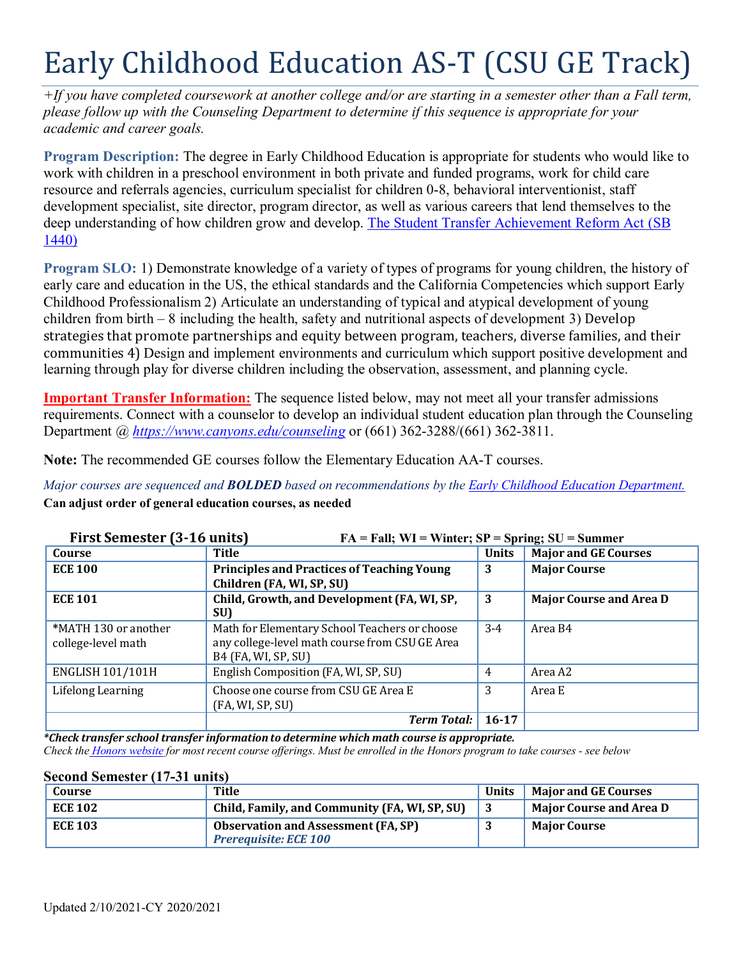# Early Childhood Education AS-T (CSU GE Track)

*+If you have completed coursework at another college and/or are starting in a semester other than a Fall term, please follow up with the Counseling Department to determine if this sequence is appropriate for your academic and career goals.*

**Program Description:** The degree in Early Childhood Education is appropriate for students who would like to work with children in a preschool environment in both private and funded programs, work for child care resource and referrals agencies, curriculum specialist for children 0-8, behavioral interventionist, staff development specialist, site director, program director, as well as various careers that lend themselves to the deep understanding of how children grow and develop. [The Student Transfer Achievement Reform Act \(SB](https://www2.calstate.edu/apply/transfer/Pages/ccc-associate-degree-for-transfer.aspx) [1440\)](https://www2.calstate.edu/apply/transfer/Pages/ccc-associate-degree-for-transfer.aspx)

**Program SLO:** 1) Demonstrate knowledge of a variety of types of programs for young children, the history of early care and education in the US, the ethical standards and the California Competencies which support Early Childhood Professionalism 2) Articulate an understanding of typical and atypical development of young children from birth – 8 including the health, safety and nutritional aspects of development 3) Develop strategies that promote partnerships and equity between program, teachers, diverse families, and their communities 4) Design and implement environments and curriculum which support positive development and learning through play for diverse children including the observation, assessment, and planning cycle.

**Important Transfer Information:** The sequence listed below, may not meet all your transfer admissions requirements. Connect with a counselor to develop an individual student education plan through the Counseling Department @ *<https://www.canyons.edu/counseling>* or (661) 362-3288/(661) 362-3811.

**Note:** The recommended GE courses follow the Elementary Education AA-T courses.

*Major courses are sequenced and BOLDED based on recommendations by the Early Childhood Education [Department.](https://www.canyons.edu/academics/ece/)* **Can adjust order of general education courses, as needed**

| First Semester (3-16 units)<br>$FA = Fall; WI = Winter; SP = Spring; SU = Summer$ |                                                                                                                        |                |                                |
|-----------------------------------------------------------------------------------|------------------------------------------------------------------------------------------------------------------------|----------------|--------------------------------|
| Course                                                                            | Title                                                                                                                  | <b>Units</b>   | <b>Major and GE Courses</b>    |
| <b>ECE 100</b>                                                                    | <b>Principles and Practices of Teaching Young</b><br>Children (FA, WI, SP, SU)                                         | 3              | <b>Major Course</b>            |
| <b>ECE 101</b>                                                                    | Child, Growth, and Development (FA, WI, SP,<br>SU)                                                                     | 3              | <b>Major Course and Area D</b> |
| *MATH 130 or another<br>college-level math                                        | Math for Elementary School Teachers or choose<br>any college-level math course from CSU GE Area<br>B4 (FA, WI, SP, SU) | $3-4$          | Area B4                        |
| <b>ENGLISH 101/101H</b>                                                           | English Composition (FA, WI, SP, SU)                                                                                   | $\overline{4}$ | Area A2                        |
| Lifelong Learning                                                                 | Choose one course from CSU GE Area E<br>(FA, WI, SP, SU)                                                               | 3              | Area E                         |
|                                                                                   | <b>Term Total:</b>                                                                                                     | $16 - 17$      |                                |

*\*Check transfer school transfer information to determine which math course is appropriate.*

Check the Honors [website](https://www.canyons.edu/academics/honors/index.php) for most recent course offerings. Must be enrolled in the Honors program to take courses - see below

#### **Second Semester (17-31 units)**

| Course         | Title                                                                      | <b>Units</b> | <b>Major and GE Courses</b> |
|----------------|----------------------------------------------------------------------------|--------------|-----------------------------|
| <b>ECE 102</b> | Child, Family, and Community (FA, WI, SP, SU)                              |              | Major Course and Area D     |
| <b>ECE 103</b> | <b>Observation and Assessment (FA, SP)</b><br><b>Prerequisite: ECE 100</b> |              | <b>Major Course</b>         |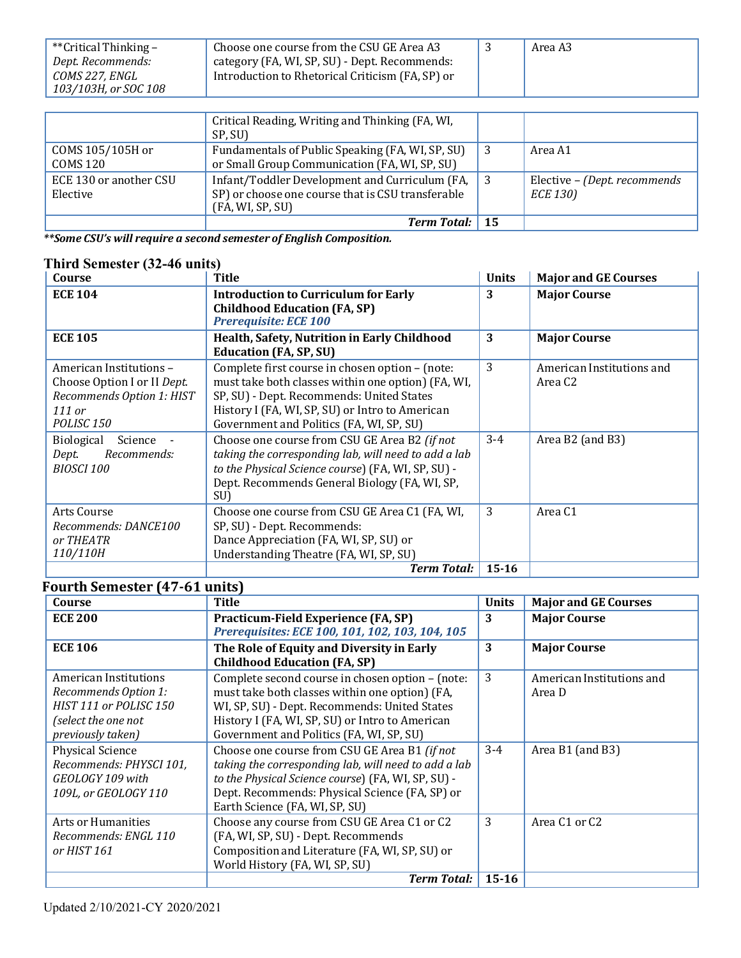| **Critical Thinking – | Choose one course from the CSU GE Area A3        | Area A3 |
|-----------------------|--------------------------------------------------|---------|
| Dept. Recommends:     | category (FA, WI, SP, SU) - Dept. Recommends:    |         |
| COMS 227. ENGL        | Introduction to Rhetorical Criticism (FA, SP) or |         |
| 103/103H, or SOC 108  |                                                  |         |

|                                    | Critical Reading, Writing and Thinking (FA, WI,<br>SP, SU)                                                              |                                          |
|------------------------------------|-------------------------------------------------------------------------------------------------------------------------|------------------------------------------|
| COMS 105/105H or<br>COMS 120       | Fundamentals of Public Speaking (FA, WI, SP, SU)<br>or Small Group Communication (FA, WI, SP, SU)                       | Area A1                                  |
| ECE 130 or another CSU<br>Elective | Infant/Toddler Development and Curriculum (FA,<br>SP) or choose one course that is CSU transferable<br>(FA, WI, SP, SU) | Elective - (Dept. recommends<br>ECE 130) |
|                                    | <b>Term Total:</b> 15                                                                                                   |                                          |

*\*\*Some CSU's will require a second semester of English Composition.*

## **Third Semester (32-46 units)**

| Course                                                                                                                   | Title                                                                                                                                                                                                                                             | <b>Units</b> | <b>Major and GE Courses</b>                      |
|--------------------------------------------------------------------------------------------------------------------------|---------------------------------------------------------------------------------------------------------------------------------------------------------------------------------------------------------------------------------------------------|--------------|--------------------------------------------------|
| <b>ECE 104</b>                                                                                                           | <b>Introduction to Curriculum for Early</b><br><b>Childhood Education (FA, SP)</b><br><b>Prerequisite: ECE 100</b>                                                                                                                                | 3            | <b>Major Course</b>                              |
| <b>ECE 105</b>                                                                                                           | Health, Safety, Nutrition in Early Childhood<br><b>Education (FA, SP, SU)</b>                                                                                                                                                                     | 3            | <b>Major Course</b>                              |
| American Institutions -<br>Choose Option I or II Dept.<br>Recommends Option 1: HIST<br>$111$ or<br>POLISC <sub>150</sub> | Complete first course in chosen option - (note:<br>must take both classes within one option) (FA, WI,<br>SP, SU) - Dept. Recommends: United States<br>History I (FA, WI, SP, SU) or Intro to American<br>Government and Politics (FA, WI, SP, SU) | 3            | American Institutions and<br>Area C <sub>2</sub> |
| <b>Biological</b><br>Science<br>Recommends:<br>Dept.<br><b>BIOSCI 100</b>                                                | Choose one course from CSU GE Area B2 (if not<br>taking the corresponding lab, will need to add a lab<br>to the Physical Science course) (FA, WI, SP, SU) -<br>Dept. Recommends General Biology (FA, WI, SP,<br>SU)                               | $3-4$        | Area B2 (and B3)                                 |
| Arts Course<br>Recommends: DANCE100<br>or THEATR<br>110/110H                                                             | Choose one course from CSU GE Area C1 (FA, WI,<br>SP, SU) - Dept. Recommends:<br>Dance Appreciation (FA, WI, SP, SU) or<br>Understanding Theatre (FA, WI, SP, SU)                                                                                 | 3            | Area C <sub>1</sub>                              |
|                                                                                                                          | <b>Term Total:</b>                                                                                                                                                                                                                                | $15 - 16$    |                                                  |

## **Fourth Semester (47-61 units)**

| Course                    | <b>Title</b>                                         | <b>Units</b> | <b>Major and GE Courses</b> |
|---------------------------|------------------------------------------------------|--------------|-----------------------------|
| <b>ECE 200</b>            | Practicum-Field Experience (FA, SP)                  | 3            | <b>Major Course</b>         |
|                           | Prerequisites: ECE 100, 101, 102, 103, 104, 105      |              |                             |
| <b>ECE 106</b>            | The Role of Equity and Diversity in Early            | 3            | <b>Major Course</b>         |
|                           | <b>Childhood Education (FA, SP)</b>                  |              |                             |
| American Institutions     | Complete second course in chosen option - (note:     | 3            | American Institutions and   |
| Recommends Option 1:      | must take both classes within one option) (FA,       |              | Area D                      |
| HIST 111 or POLISC 150    | WI, SP, SU) - Dept. Recommends: United States        |              |                             |
| (select the one not       | History I (FA, WI, SP, SU) or Intro to American      |              |                             |
| previously taken)         | Government and Politics (FA, WI, SP, SU)             |              |                             |
| <b>Physical Science</b>   | Choose one course from CSU GE Area B1 (if not        | $3-4$        | Area B1 (and B3)            |
| Recommends: PHYSCI 101,   | taking the corresponding lab, will need to add a lab |              |                             |
| GEOLOGY 109 with          | to the Physical Science course) (FA, WI, SP, SU) -   |              |                             |
| 109L, or GEOLOGY 110      | Dept. Recommends: Physical Science (FA, SP) or       |              |                             |
|                           | Earth Science (FA, WI, SP, SU)                       |              |                             |
| <b>Arts or Humanities</b> | Choose any course from CSU GE Area C1 or C2          | 3            | Area C1 or C2               |
| Recommends: ENGL 110      | (FA, WI, SP, SU) - Dept. Recommends                  |              |                             |
| or HIST 161               | Composition and Literature (FA, WI, SP, SU) or       |              |                             |
|                           | World History (FA, WI, SP, SU)                       |              |                             |
|                           | <b>Term Total:</b>                                   | $15 - 16$    |                             |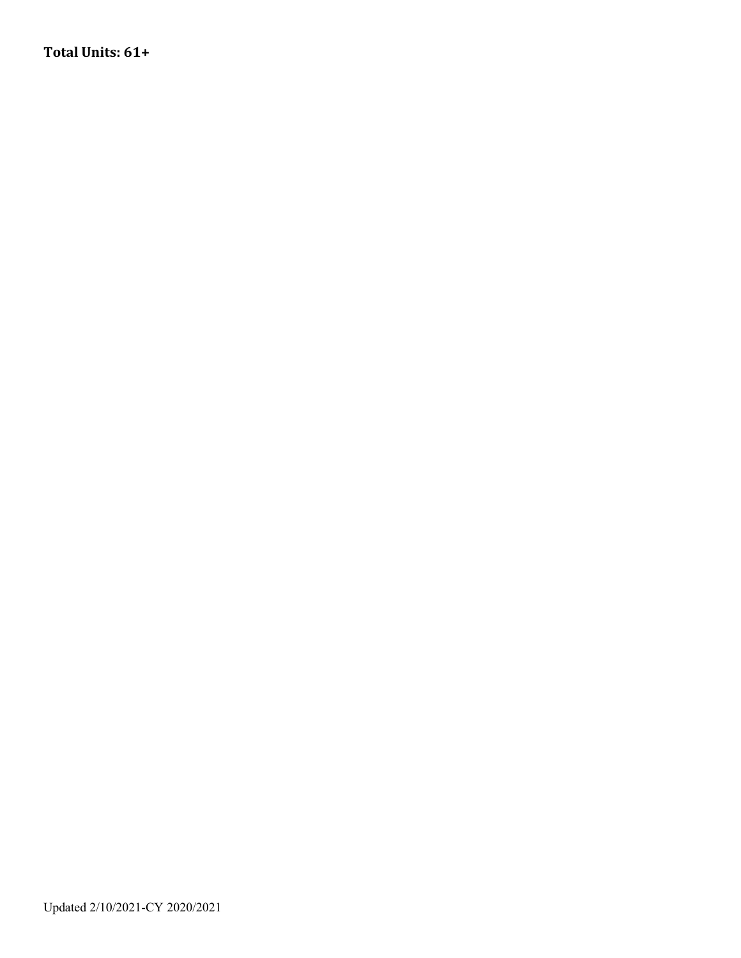**Total Units: 61+**